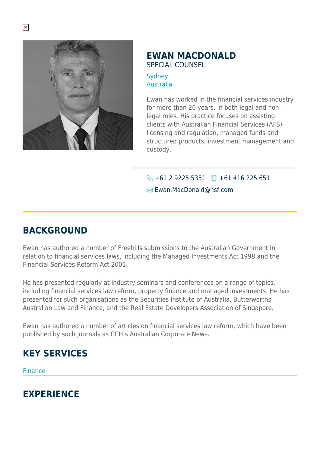

## **EWAN MACDONALD** SPECIAL COUNSEL

**[Sydney](https://www.herbertsmithfreehills.com/lang-th/where-we-work/sydney)** [Australia](https://www.herbertsmithfreehills.com/lang-th/where-we-work/australia)

Ewan has worked in the financial services industry for more than 20 years, in both legal and nonlegal roles. His practice focuses on assisting clients with Australian Financial Services (AFS) licensing and regulation, managed funds and structured products, investment management and custody.

 $\bigodot$  +61 2 9225 5351  $\Box$  +61 416 225 651 **Ewan.MacDonald**@hsf.com

## **BACKGROUND**

Ewan has authored a number of Freehills submissions to the Australian Government in relation to financial services laws, including the Managed Investments Act 1998 and the Financial Services Reform Act 2001.

He has presented regularly at industry seminars and conferences on a range of topics, including financial services law reform, property finance and managed investments. He has presented for such organisations as the Securities Institute of Australia, Butterworths, Australian Law and Finance, and the Real Estate Developers Association of Singapore.

Ewan has authored a number of articles on financial services law reform, which have been published by such journals as CCH's Australian Corporate News.

## **KEY SERVICES**

Finance

## **EXPERIENCE**